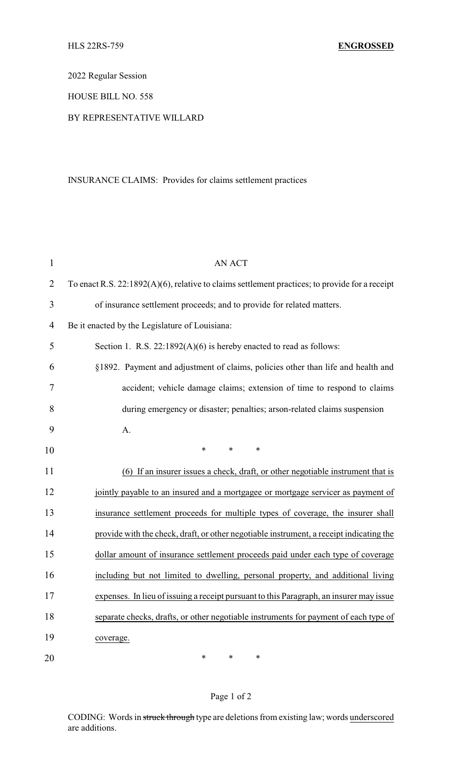2022 Regular Session

HOUSE BILL NO. 558

## BY REPRESENTATIVE WILLARD

## INSURANCE CLAIMS: Provides for claims settlement practices

| $\mathbf{1}$   | <b>AN ACT</b>                                                                                     |  |  |
|----------------|---------------------------------------------------------------------------------------------------|--|--|
| $\overline{2}$ | To enact R.S. $22:1892(A)(6)$ , relative to claims settlement practices; to provide for a receipt |  |  |
| 3              | of insurance settlement proceeds; and to provide for related matters.                             |  |  |
| 4              | Be it enacted by the Legislature of Louisiana:                                                    |  |  |
| 5              | Section 1. R.S. 22:1892(A)(6) is hereby enacted to read as follows:                               |  |  |
| 6              | §1892. Payment and adjustment of claims, policies other than life and health and                  |  |  |
| 7              | accident; vehicle damage claims; extension of time to respond to claims                           |  |  |
| 8              | during emergency or disaster; penalties; arson-related claims suspension                          |  |  |
| 9              | A.                                                                                                |  |  |
| 10             | $\ast$<br>*<br>*                                                                                  |  |  |
| 11             | (6) If an insurer issues a check, draft, or other negotiable instrument that is                   |  |  |
| 12             | jointly payable to an insured and a mortgagee or mortgage servicer as payment of                  |  |  |
| 13             | insurance settlement proceeds for multiple types of coverage, the insurer shall                   |  |  |
| 14             | provide with the check, draft, or other negotiable instrument, a receipt indicating the           |  |  |
| 15             | dollar amount of insurance settlement proceeds paid under each type of coverage                   |  |  |
| 16             | including but not limited to dwelling, personal property, and additional living                   |  |  |
| 17             | expenses. In lieu of issuing a receipt pursuant to this Paragraph, an insurer may issue           |  |  |
| 18             | separate checks, drafts, or other negotiable instruments for payment of each type of              |  |  |
| 19             | coverage.                                                                                         |  |  |
| 20             | ∗<br>∗<br>$\ast$                                                                                  |  |  |

## Page 1 of 2

CODING: Words in struck through type are deletions from existing law; words underscored are additions.